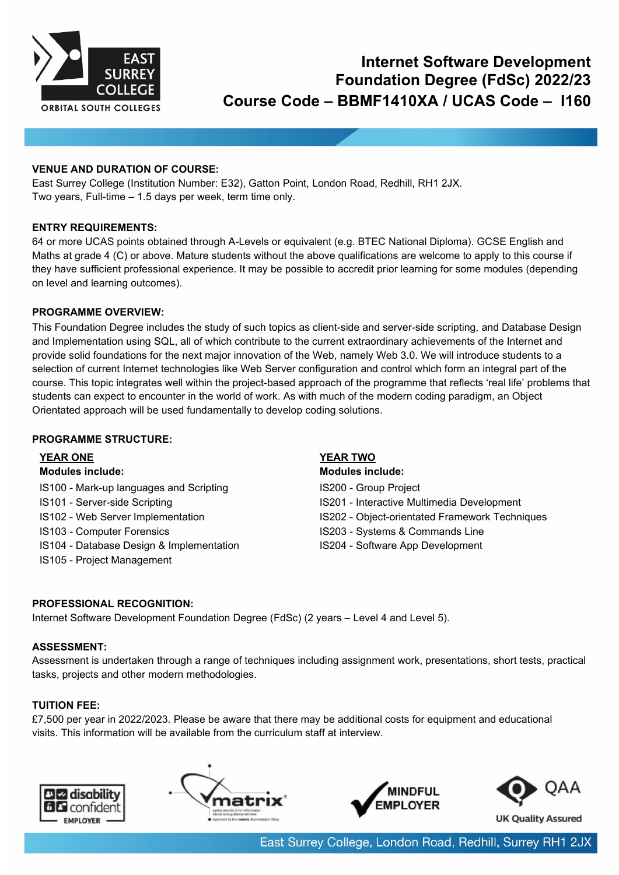

# **Internet Software Development Foundation Degree (FdSc) 2022/23 Course Code – BBMF1410XA / UCAS Code – I160**

# **VENUE AND DURATION OF COURSE:**

East Surrey College (Institution Number: E32), Gatton Point, London Road, Redhill, RH1 2JX. Two years, Full-time – 1.5 days per week, term time only.

# **ENTRY REQUIREMENTS:**

64 or more UCAS points obtained through A-Levels or equivalent (e.g. BTEC National Diploma). GCSE English and Maths at grade 4 (C) or above. Mature students without the above qualifications are welcome to apply to this course if they have sufficient professional experience. It may be possible to accredit prior learning for some modules (depending on level and learning outcomes).

# **PROGRAMME OVERVIEW:**

This Foundation Degree includes the study of such topics as client-side and server-side scripting, and Database Design and Implementation using SQL, all of which contribute to the current extraordinary achievements of the Internet and provide solid foundations for the next major innovation of the Web, namely Web 3.0. We will introduce students to a selection of current Internet technologies like Web Server configuration and control which form an integral part of the course. This topic integrates well within the project-based approach of the programme that reflects 'real life' problems that students can expect to encounter in the world of work. As with much of the modern coding paradigm, an Object Orientated approach will be used fundamentally to develop coding solutions.

### **PROGRAMME STRUCTURE:**

- IS100 Mark-up languages and Scripting **IS200 Group Project**
- 
- 
- 
- IS104 Database Design & Implementation IS204 Software App Development
- IS105 Project Management

# **YEAR ONE YEAR TWO**

**Modules include: Modules include:** IS101 - Server-side Scripting **ISLO** 15201 - Interactive Multimedia Development IS102 - Web Server Implementation **IS202 - Object-orientated Framework Techniques** IS103 - Computer Forensics **IS203 - Systems & Commands Line** 

### **PROFESSIONAL RECOGNITION:**

Internet Software Development Foundation Degree (FdSc) (2 years – Level 4 and Level 5).

### **ASSESSMENT:**

Assessment is undertaken through a range of techniques including assignment work, presentations, short tests, practical tasks, projects and other modern methodologies.

# **TUITION FEE:**

£7,500 per year in 2022/2023. Please be aware that there may be additional costs for equipment and educational visits. This information will be available from the curriculum staff at interview.